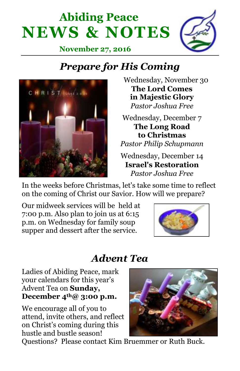



**November 27, 2016**

# *Prepare for His Coming*



 Wednesday, November 30 **The Lord Comes in Majestic Glory** *Pastor Joshua Free*

Wednesday, December 7 **The Long Road to Christmas** *Pastor Philip Schupmann* Wednesday, December 14 **Israel's Restoration**

*Pastor Joshua Free*

In the weeks before Christmas, let's take some time to reflect on the coming of Christ our Savior. How will we prepare?

Our midweek services will be held at 7:00 p.m. Also plan to join us at 6:15 p.m. on Wednesday for family soup supper and dessert after the service.



## *Advent Tea*

Ladies of Abiding Peace, mark your calendars for this year's Advent Tea on **Sunday, December 4th@ 3:00 p.m.** 

We encourage all of you to attend, invite others, and reflect on Christ's coming during this hustle and bustle season!



Questions? Please contact Kim Bruemmer or Ruth Buck.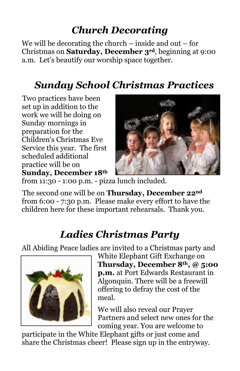# *Church Decorating*

We will be decorating the church – inside and out – for Christmas on **Saturday, December 3rd**, beginning at 9:00 a.m. Let's beautify our worship space together.

# *Sunday School Christmas Practices*

Two practices have been set up in addition to the work we will be doing on Sunday mornings in preparation for the Children's Christmas Eve Service this year. The first scheduled additional practice will be on **Sunday, December 18th**



from 11:30 - 1:00 p.m. - pizza lunch included.

The second one will be on **Thursday, December 22nd** from 6:00 - 7:30 p.m. Please make every effort to have the children here for these important rehearsals. Thank you.

# *Ladies Christmas Party*

All Abiding Peace ladies are invited to a Christmas party and



White Elephant Gift Exchange on **Thursday, December 8th, @ 5:00 p.m.** at Port Edwards Restaurant in Algonquin. There will be a freewill offering to defray the cost of the meal.

We will also reveal our Prayer Partners and select new ones for the coming year. You are welcome to

participate in the White Elephant gifts or just come and share the Christmas cheer! Please sign up in the entryway.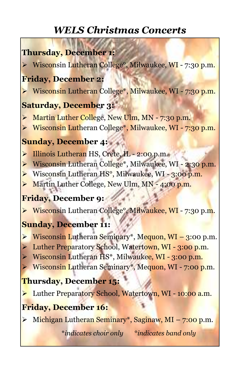## *WELS Christmas Concerts*

## **Thursday, December 1:**

► Wisconsin Lutheran College<sup>o</sup>, Milwaukee, WI - 7:30 p.m.

#### **Friday, December 2:**

Wisconsin Lutheran College<sup>\*</sup>, Milwaukee, WI - 7:30 p.m.

#### **Saturday, December 3:**

- Martin Luther College, New Ulm, MN 7:30 p.m.
- ▶ Wisconsin Lutheran College<sup>\*</sup>, Milwaukee, WI 7:30 p.m.

## **Sunday, December 4:**

- Illinois Lutheran HS, Crete, IL 2:00 p.m.
- ▶ Wisconsin Lutheran College<sup>\*</sup>, Milwaukee, WI 2:30 p.m.
- ▶ Wisconsin Lutheran HS<sup>o</sup>, Milwaukee, WI 3:00 p.m.
- Martin Luther College, New Ulm, MN 4:00 p.m.

## **Friday, December 9:**

► Wisconsin Lutheran College<sup>o</sup>, Milwaukee, WI - 7:30 p.m.

## **Sunday, December 11:**

- $\triangleright$  Wisconsin Lutheran Seminary\*, Mequon, WI 3:00 p.m.
- Euther Preparatory School, Watertown, WI 3:00 p.m.
- $\triangleright$  Wisconsin Lutheran HS<sup>\*</sup>, Milwaukee, WI 3:00 p.m.
- **Wisconsin Lutheran Seminary\*, Mequon, WI 7:00 p.m.**

## **Thursday, December 15:**

**Luther Preparatory School, Watertown, WI - 10:00 a.m.** 

## **Friday, December 16:**

► Michigan Lutheran Seminary<sup>\*</sup>, Saginaw, MI – 7:00 p.m.

\**indicates choir only* °*indicates band only*